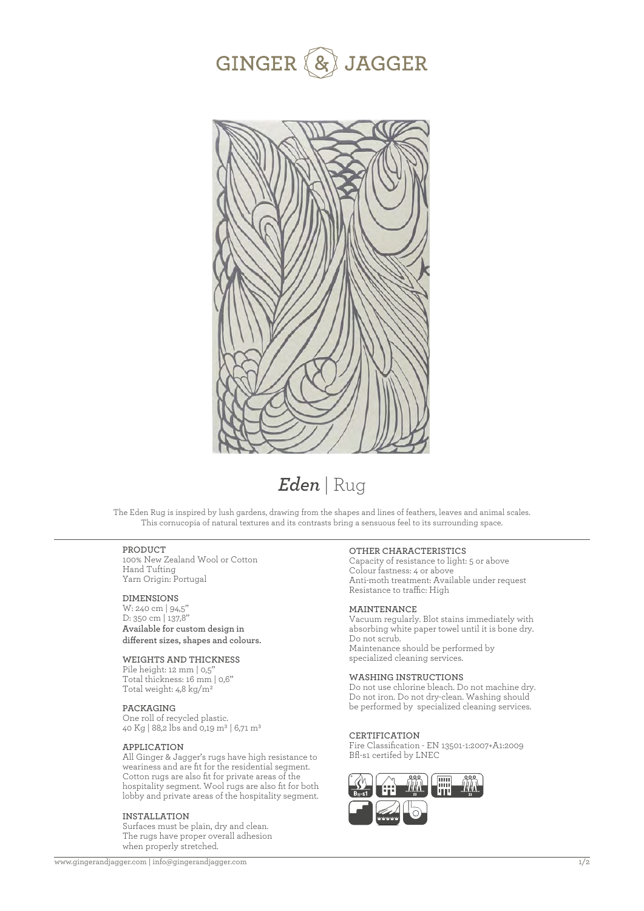



# *Eden* | Rug

The Eden Rug is inspired by lush gardens, drawing from the shapes and lines of feathers, leaves and animal scales. This cornucopia of natural textures and its contrasts bring a sensuous feel to its surrounding space.

#### **PRODUCT**

100% New Zealand Wool or Cotton Hand Tufting Yarn Origin: Portugal

### **DIMENSIONS**

W: 240 cm | 94,5'' D: 350 cm | 137,8'' **Available for custom design in**  different sizes, shapes and colours.

#### **WEIGHTS AND THICKNESS**

Pile height: 12 mm | 0,5' Total thickness: 16 mm | 0,6'' Total weight: 4,8 kg/m2

### **PACKAGING**

One roll of recycled plastic. 40 Kg | 88,2 lbs and 0,19 m3 | 6,71 m3

#### **APPLICATION**

All Ginger & Jagger's rugs have high resistance to weariness and are fit for the residential segment. Cotton rugs are also fit for private areas of the hospitality segment. Wool rugs are also fit for both lobby and private areas of the hospitality segment.

#### **INSTALLATION**

Surfaces must be plain, dry and clean. The rugs have proper overall adhesion when properly stretched.

#### **OTHER CHARACTERISTICS**

Capacity of resistance to light: 5 or above Colour fastness: 4 or above Anti-moth treatment: Available under request Resistance to traffic: High

#### **MAINTENANCE**

Vacuum regularly. Blot stains immediately with absorbing white paper towel until it is bone dry. Do not scrub. Maintenance should be performed by specialized cleaning services.

#### **WASHING INSTRUCTIONS**

Do not use chlorine bleach. Do not machine dry. Do not iron. Do not dry-clean. Washing should be performed by specialized cleaning services.

#### **CERTIFICATION**

Fire Classification - EN 13501-1:2007+A1:2009 Bfl-s1 certifed by LNEC